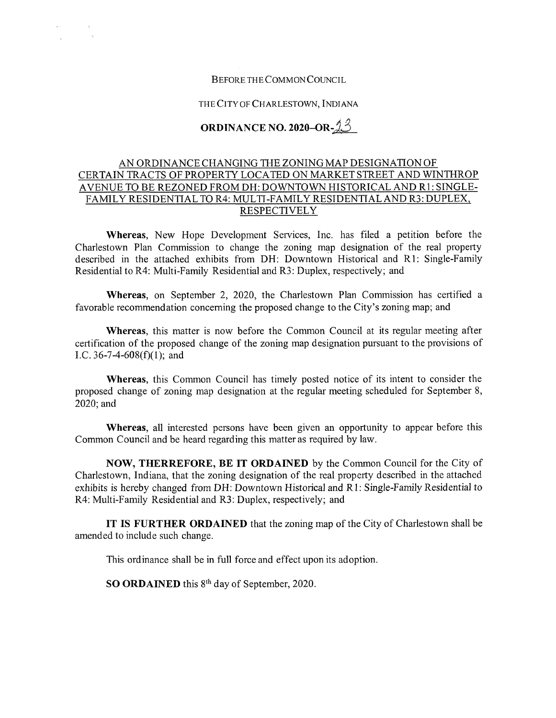# Before theCommon Council

 $\begin{array}{ccc} \mathbf{r}^{(1)} & \mathbf{r}^{(2)} & \mathbf{r}^{(3)} \\ & \ddots & \ddots & \ddots \\ & & \ddots & \ddots & \ddots \\ & & & \mathbf{r}^{(n)} \end{array}$ 

## THE CITY OF CHARLESTOWN, INDIANA

# **ORDINANCE NO. 2020–OR-** $23$

# AN ORDINANCE CHANGING THE ZONING MAP DESIGNATION OF CERTAIN TRACTS OF PROPERTY LOCATED ON MARKET STREET AND WINTHROP AVENUE TO BE REZONED FROM DH: DOWNTOWN HISTORICAL AND R1: SINGLE-FAMILY RESIDENTIAL TO R4: MULTI-FAMILY RESIDENTIAL AND R3: DUPLEX, **RESPECTIVELY**

**Whereas,** New Hope Development Services, Inc. has filed a petition before the Charlestown Plan Commission to change the zoning map designation of the real property described in the attached exhibits from DH; Downtown Historical and RI: Single-Family Residential to R4: Multi-Family Residential and R3: Duplex, respectively; and

**Whereas,** on September **2, 2020,** the Charlestown Plan Commission has certified a favorable recommendation concerning the proposed change to the City's zoning map; and

**Whereas,** this matter is now before the Common Council at its regular meeting after certification of the proposed change of the zoning map designation pursuant to the provisions of I.C. 36-7-4-608(f)(1); and

**Whereas,** this Common Council has timely posted notice of its intent to consider the proposed change of zoning map designation at the regular meeting scheduled for September 8, 2020;and

**Whereas,** all interested persons have been given an opportunity to appear before this Common Council and be heard regarding this matter as required by law.

**NOW, THERREFORE, BE IT ORDAINED** by the Common Council for the City of Charlestown, Indiana, that the zoning designation of the real property described in the attached exhibits is hereby changed from DH: Downtown Historical and R1: Single-Family Residential to R4; Multi-Family Residential and R3; Duplex, respectively; and

**IT IS FURTHER ORDAINED** that the zoning map ofthe City of Charlestown shall be amended to include such change.

This ordinance shall be in full force and effect upon its adoption.

**SO ORDAINED** this 8<sup>th</sup> day of September, 2020.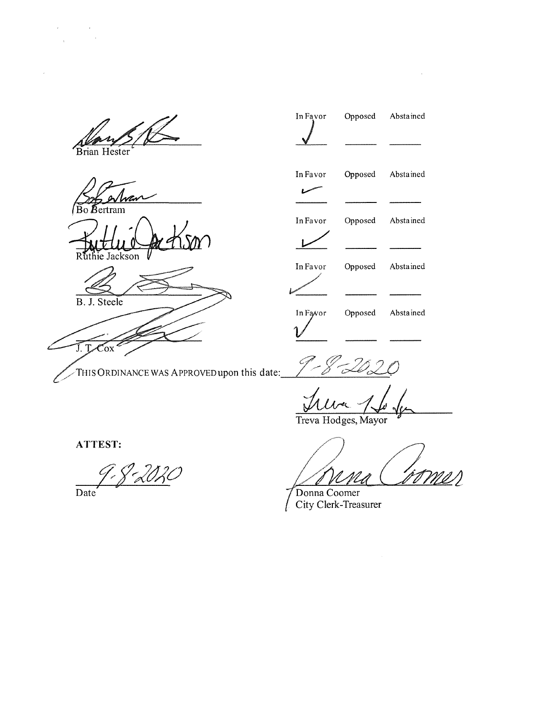Brian Hester

 $\begin{aligned} \mathcal{A}(\mathcal{A}) &= \mathcal{A}(\mathcal{A}) \\ &= \mathcal{A}(\mathcal{A}) \end{aligned}$ 

Bo Bertram

hie Jackson



 $\overline{J}$ .  $\overline{L}$ Cox Z THIS ORDINANCE WAS APPROVED upon this date:

*J* In Favor Opposed Abstained سما In Favor Opposed Abstained  $\overline{L}$ In Favor Opposed Abstained In Favor Opposed Abstained *V*

Opposed Abstained

 $\sim$ 

In Favor

– J

Treva Hodges, Mayor

ATTEST:

<u>J. J. 2020</u>

Date

**//**<br>/ /<br>4

Donna Coomer City Clerk-Treasurer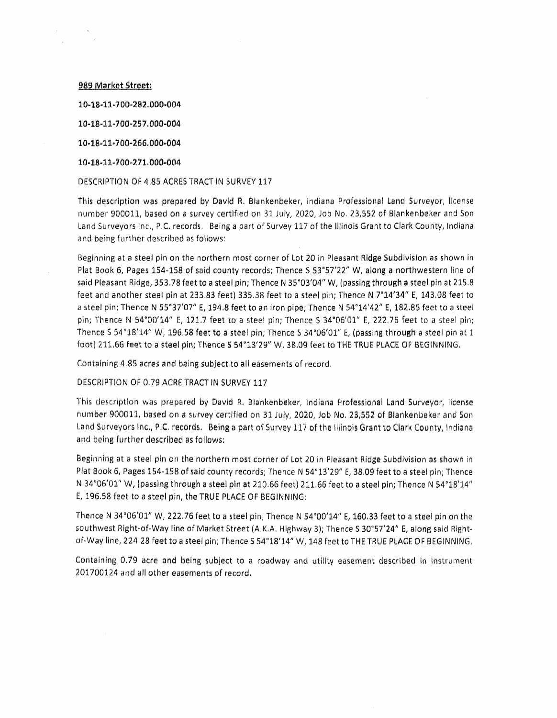989 Market Street:

 $\omega_{\rm{max}}$ 

104841-700-2S2.000-004

10-1841-700'2S7.000-004

104841400466.000-004

104841400471.000^004

DESCRIPTION OF 4.85 ACRES TRACT IN SURVEY 117

This description was prepared by David R. Blankenbeker, Indiana Professional Land Surveyor, license number 900011, based on a survey certified on 31 July, 2020, Job No. 23,552 of Blankenbeker and Son Land Surveyors Inc., P.C. records. Being <sup>a</sup> part of Survey 117 of the Illinois Grant to Clark County, Indiana and being further described as follows;

Beginning at a steel pin on the northern most corner of Lot 20 in Pleasant Ridge Subdivision as shown in Plat Book 6, Pages 154-158 of said county records; Thence S 53°57'22" W, along a northwestern line of said Pleasant Ridge, 353.78 feet to a steel pin; Thence N 35°03'04" W, (passing through a steel pin at 215.8 feet and another steel pin at 233.83 feet) 335.38 feet to a steel pin; Thence N 7°14'34" E, 143.08 feet to <sup>a</sup> steel pin; Thence <sup>N</sup> 5S"37'07" E, 194,8 feet to an iron pipe; Thence <sup>N</sup> 54-14'42" E, 182.85 feet to <sup>a</sup> steel pin; Thence N 54°00'14" E, 121.7 feet to a steel pin; Thence S 34°06'01" E, 222.76 feet to a steel pin; Thence S 54°18'14" W, 196.58 feet to a steel pin; Thence S 34°06'01" E, (passing through a steel pin at 1 foot) 211,66 feet to a steel pin; Thence <sup>S</sup> 54\*13'29" W, 38.09 feet to THE TRUE PLACE OF BEGINNING,

Containing 4,85 acres and being subject to all easements of record.

DESCRIPTION OF 0.79 ACRE TRACT IN SURVEY 117

This description was prepared by David R, Blankenbeker, Indiana Professional Land Surveyor, license number 900011, based on a survey certified on 31 July, 2020, Job No. 23,552 of Blankenbeker and Son Land Surveyors Inc., P.C. records. Being a part of Survey 117 of the Illinois Grant to Clark County, Indiana and being further described as follows:

Beginning at a steel pin on the northern most corner of Lot 20 in Pleasant Ridge Subdivision as shown in Plat Book 6, Pages 154-158 of said county records; Thence N 54°13'29" E, 38.09 feet to a steel pin; Thence N 34°06'01" W, (passing through a steel pin at 210.66 feet) 211.66 feet to a steel pin; Thence N 54°18'14" E, 196.58 feet to a steel pin, the TRUE PLACE OF BEGINNING:

Thence N 34"06'01" W, 222.76 feet to <sup>a</sup> steel pin; Thence N 54''00'14" E, 160.33 feet to <sup>a</sup> steel pin on the southwest Right-Of-Way line of Market Street (A.K.A. Highway 3); Thence <sup>S</sup> 30"S7'24" E, along said Rightof-Way line, 224,28 feet to <sup>a</sup> steel pin; Thence <sup>S</sup> 54°18'14" W, 148 feet to THE TRUE PLACE OF BEGINNING.

Containing 0.79 acre and being subject to a roadway and utility easement described in Instrument 201700124 and all other easements of record.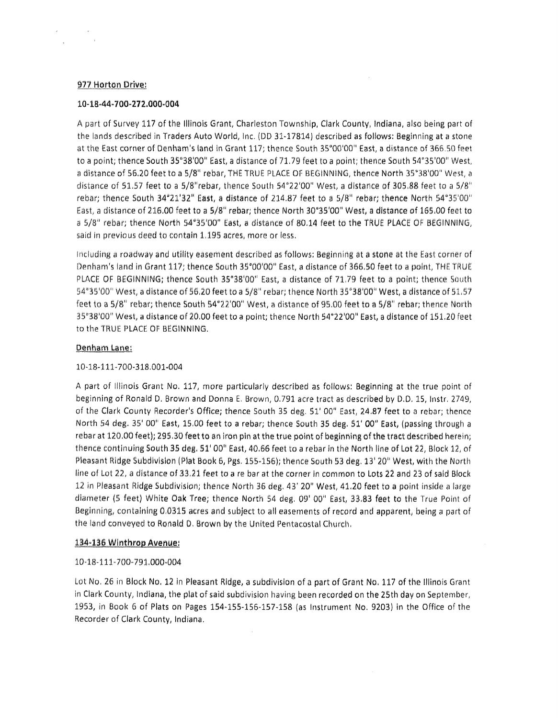# 977 Horton Drive:

#### **10-18-44-700-272.000-004**

A part of Survey 117 of the Illinois Grant, Charleston Township, Clark County, Indiana, also being part of the lands described in Traders Auto World, Inc. (DD 31-17814) described as follows: Beginning at a stone at the East corner of Denham's land in Grant 117; thence South 35°00'00" East, a distance of 366.50 feet to <sup>a</sup> point; thence South 35"38'00" East, <sup>a</sup> distance of 71.79 feet to <sup>a</sup> point; thence South 54"3S'00" West, <sup>a</sup> distance of 56.20 feet to a 5/8" rebar, THE TRUE PLACE Of BEGINNING, thence North 35''38'00" West, <sup>a</sup> distance of 51.57 feet to <sup>a</sup> 5/8"rebar, thence South 54"22'00" West, <sup>a</sup> distance of 305.S8 feet to <sup>a</sup> 5/8" rebar; thence South 34"21'32" East, <sup>a</sup> distance of 214,87 feet to <sup>a</sup> 5/8" rebar; thence North 54"3S'00" East, a distance of 216.00 feet to a 5/8" rebar; thence North 30°35'00" West, a distance of 165.00 feet to <sup>a</sup> S/8" rebar: thence North S4"35'00" East, a distance of 80.14 feet to the TRUE PLACE OF BEGINNING, said in previous deed to contain 1.195 acres, more or less.

Including a roadway and utility easement described as follows: Beginning at a stone at the East corner of Denham's land in Grant 117; thence South 35°00'00" East, a distance of 366.50 feet to a point, THE TRUE PLACE OF BEGINNING; thence South 35°38'00" East, <sup>a</sup> distance of 71.79 feet to <sup>a</sup> point; thence South 54"35'00" West, a distance of 56.20 feet to a 5/8" rebar; thence North 35"38'00" West, a distance of 51.57 feet to <sup>a</sup> 5/8" rebar; thence South 54"22'00" West, <sup>a</sup> distance of 95.00 feet to <sup>a</sup> S/8" rebar; thence North 35°38'00" West, <sup>a</sup> distance of 20,00 feet to <sup>a</sup> point; thence North 54"22'00" East, <sup>a</sup> distance of 151.20 feet to the TRUE PLACE OF BEGINNING,

#### Denham Lane:

## 10-18-111-700-318.001-004

A part of Illinois Grant No. 117, more particularly described as follows: Beginning at the true point of beginning of Ronald D, Brown and Donna E. Brown, 0.791 acre tract as described by D.0.15, Instr. 2749, of the Clark County Recorder's Office; thence South 35 deg. 51' 00" East, 24.87 feet to a rebar; thence North 54 deg. 35' 00" East, 15.00 feet to a rebar; thence South 35 deg. 51' 00" East, (passing through a rebar at 120.00 feet); 295.30 feet to an iron pin at the true point of beginning of the tract described herein; thence continuing South 35 deg. 51' 00" East, 40.66 feet to a rebar in the North line of Lot 22, Block 12, of Pleasant Ridge Subdivision (Plat Book 6, Pgs, 155-1S6); thence South S3 deg. 13' 20" West, with the North line of Lot 22, a distance of 33,21 feet to <sup>a</sup> re bar at the corner in common to Lots 22 and 23 of said Block 12 in Pleasant Ridge Subdivision; thence North 36 deg, 43' 20" West, 41.20 feet to a point inside <sup>a</sup> large diameter (5 feet) White Oak Tree; thence North 54 deg. 09' 00" East, 33,83 feat to the True Point of Beginning, containing 0.0315 acres and subject to all easements of record and apparent, being <sup>a</sup> part of the land conveyed to Ronald D. Brown by the United Pentacostal Church,

#### 134-136 Winthrop Avenue:

#### 10-18-111-7OO-791.O00-004

Lot No, 26 in Block No. 12 in Pleasant Ridge, a subdivision of <sup>a</sup> part of Grant No. 117 of the Illinois Grant in Clark County, Indiana, the plat of said subdivision having been recorded on the 2Sth day on September, 1953, in Book 6 of Plats on Pages 154-155-156-157-158 (as Instrument No. 9203) in the Office of the Recorder of Clark County, Indiana.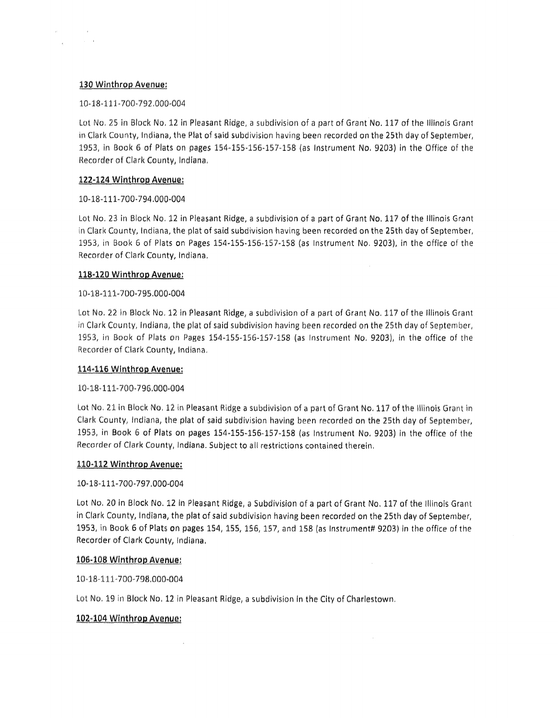## 130 Winthrop Avenue:

 $\frac{1}{\sqrt{2}}$ 

## 10-18-111-700-792.000-004

Lot No. 25 in Block No. 12 in Pleasant Ridge, <sup>a</sup> subdivision of <sup>a</sup> part of Grant No, 117 of the Illinois Grant in Clark County, Indiana, the Plat of said subdivision having been recorded on the 25th day of September, 1953, in Book 6 of Plats on pages 154-155-156-157-158 (as Instrument No. 9203) in the Office of the Recorder of Clark County, Indiana,

# **122-124 Winthrop Avenue;**

# 10-18-111-700-794.000-004

Lot No. 23 in Block No. 12 in Pleasant Ridge, <sup>a</sup> subdivision of <sup>a</sup> part of Grant No, 117 of the Illinois Grant in Clark County, Indiana, the plat of said subdivision having been recorded on the 25th day of September, 1953, in Book 6 of Plats on Pages 154-155-156-157-158 (as Instrument No. 9203), in the office of the Recorder of Clark County, Indiana.

# <u>118-120 Winthrop Avenue:</u>

# 10-18-111-700-795.000-004

Lot No. 22 in Block No, 12 In Pleasant Ridge, <sup>a</sup> subdivision of <sup>a</sup> part of Grant No. 117 of the Illinois Grant in Clark County, Indiana, the plat of said subdivision having been recorded on the 25th day of September, 1953, in Book of Plats on Pages 1S4-1S5-156-1S7-158 (as Instrument No. 9203), in the office of the Recorder of Clark County, Indiana,

## 114-116 Winthrop Avenue:

# 10-18-111-700-796.000-004

Lot No. 21 in Block No. 12 in Pleasant Ridge a subdivision of <sup>a</sup> part of Grant No. 117 of the Illinois Grant in Clark County, Indiana, the plat of said subdivision having been recorded on the 2Sth day of September, 1953, in Book 6 of Plats on pages 1S4-1S5-1S6-1S7-158 (as Instrument No. 9203) in the office of the Recorder of Clark County, Indiana. Subject to all restrictions contained therein.

## **110-112 Winthrop Avenue:**

## 10-18-111-700-797.000-004

Lot No. 20 in Block No. 12 In Pleasant Ridge, <sup>a</sup> Subdivision of a part of Grant No. 117 of the Illinois Grant in Clark County, Indiana, the plat of said subdivision having been recorded on the 25th day of September, 1953, in Book 6 of Plats on pages 154,155, 156,157, and 158 (as Instrument# 9203) in the office of the Recorder of Clark County, Indiana.

# 106-108 Winthrop Avenue:

10-18-111-700-798,000-004

Lot No. 19 in Block No. 12 in Pleasant Ridge, <sup>a</sup> subdivision In the City of Charlestown,

# 102-104 Winthrop Avenue:

 $\sim$   $\mu$